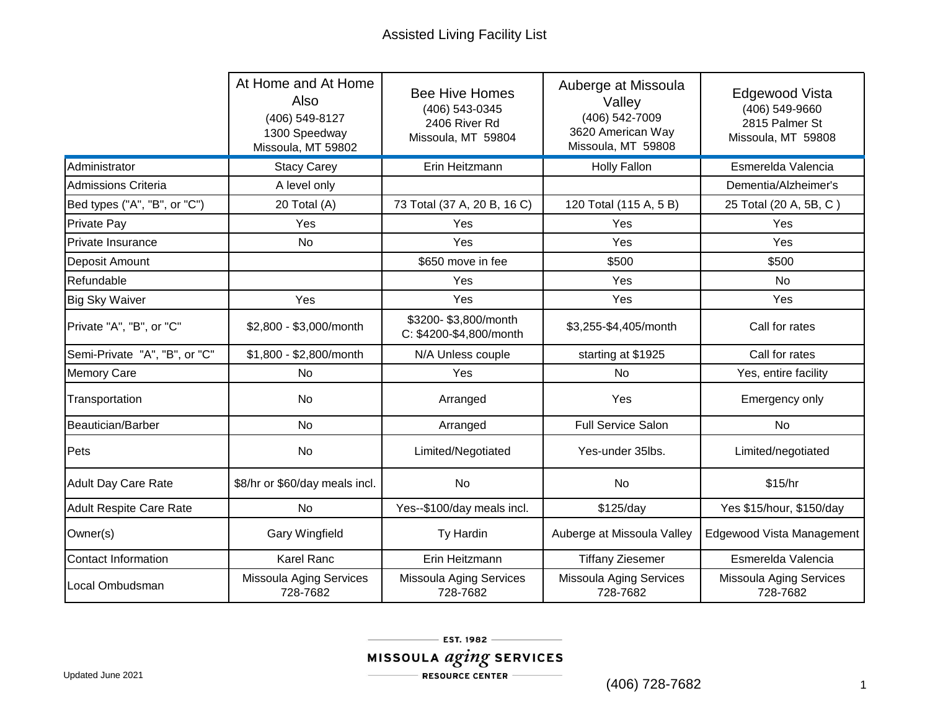|                                | At Home and At Home<br>Also<br>(406) 549-8127<br>1300 Speedway<br>Missoula, MT 59802 | <b>Bee Hive Homes</b><br>(406) 543-0345<br>2406 River Rd<br>Missoula, MT 59804 | Auberge at Missoula<br>Valley<br>(406) 542-7009<br>3620 American Way<br>Missoula, MT 59808 | Edgewood Vista<br>(406) 549-9660<br>2815 Palmer St<br>Missoula, MT 59808 |
|--------------------------------|--------------------------------------------------------------------------------------|--------------------------------------------------------------------------------|--------------------------------------------------------------------------------------------|--------------------------------------------------------------------------|
| Administrator                  | <b>Stacy Carey</b>                                                                   | Erin Heitzmann                                                                 | <b>Holly Fallon</b>                                                                        | Esmerelda Valencia                                                       |
| <b>Admissions Criteria</b>     | A level only                                                                         |                                                                                |                                                                                            | Dementia/Alzheimer's                                                     |
| Bed types ("A", "B", or "C")   | 20 Total (A)                                                                         | 73 Total (37 A, 20 B, 16 C)                                                    | 120 Total (115 A, 5 B)                                                                     | 25 Total (20 A, 5B, C)                                                   |
| Private Pay                    | Yes                                                                                  | Yes                                                                            | Yes                                                                                        | Yes                                                                      |
| Private Insurance              | No                                                                                   | Yes                                                                            | Yes                                                                                        | Yes                                                                      |
| Deposit Amount                 |                                                                                      | \$650 move in fee                                                              | \$500                                                                                      | \$500                                                                    |
| Refundable                     |                                                                                      | Yes                                                                            | Yes                                                                                        | No                                                                       |
| <b>Big Sky Waiver</b>          | Yes                                                                                  | Yes                                                                            | Yes                                                                                        | Yes                                                                      |
| Private "A", "B", or "C"       | \$2,800 - \$3,000/month                                                              | \$3200-\$3,800/month<br>C: \$4200-\$4,800/month                                | \$3,255-\$4,405/month                                                                      | Call for rates                                                           |
| Semi-Private "A", "B", or "C"  | \$1,800 - \$2,800/month                                                              | N/A Unless couple                                                              | starting at \$1925                                                                         | Call for rates                                                           |
| <b>Memory Care</b>             | <b>No</b>                                                                            | Yes                                                                            | No                                                                                         | Yes, entire facility                                                     |
| Transportation                 | No                                                                                   | Arranged                                                                       | Yes                                                                                        | Emergency only                                                           |
| Beautician/Barber              | <b>No</b>                                                                            | Arranged                                                                       | <b>Full Service Salon</b>                                                                  | <b>No</b>                                                                |
| Pets                           | <b>No</b>                                                                            | Limited/Negotiated                                                             | Yes-under 35lbs.                                                                           | Limited/negotiated                                                       |
| <b>Adult Day Care Rate</b>     | \$8/hr or \$60/day meals incl.                                                       | No                                                                             | No                                                                                         | \$15/hr                                                                  |
| <b>Adult Respite Care Rate</b> | <b>No</b>                                                                            | Yes--\$100/day meals incl.                                                     | \$125/day                                                                                  | Yes \$15/hour, \$150/day                                                 |
| Owner(s)                       | <b>Gary Wingfield</b>                                                                | Ty Hardin                                                                      | Auberge at Missoula Valley                                                                 | Edgewood Vista Management                                                |
| Contact Information            | <b>Karel Ranc</b>                                                                    | Erin Heitzmann                                                                 | <b>Tiffany Ziesemer</b>                                                                    | Esmerelda Valencia                                                       |
| Local Ombudsman                | Missoula Aging Services<br>728-7682                                                  | Missoula Aging Services<br>728-7682                                            | <b>Missoula Aging Services</b><br>728-7682                                                 | Missoula Aging Services<br>728-7682                                      |

(406) 728-7682 1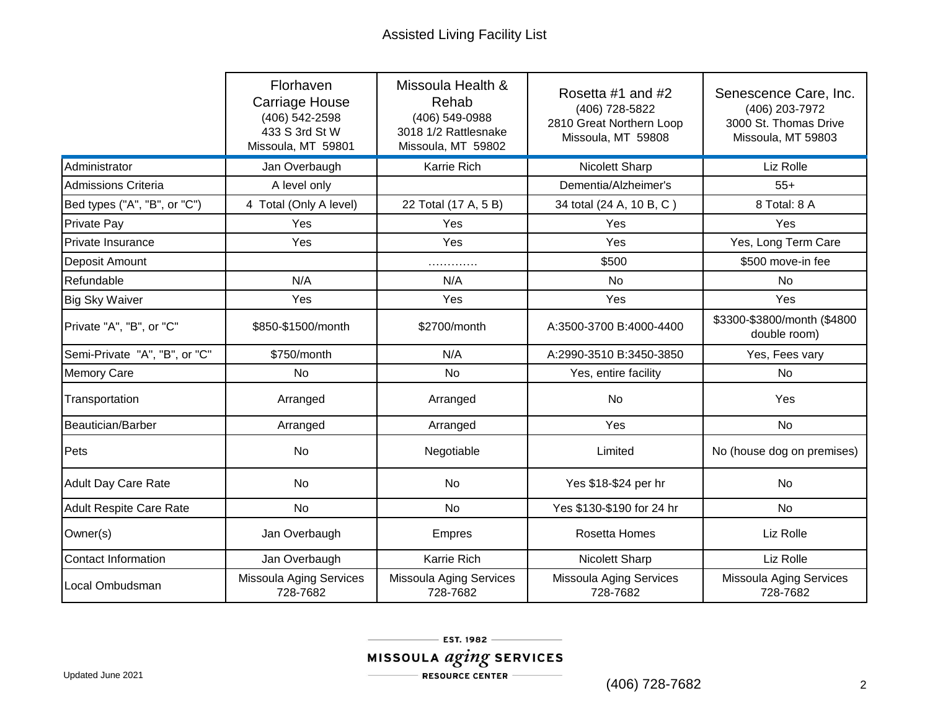|                                | Florhaven<br><b>Carriage House</b><br>(406) 542-2598<br>433 S 3rd St W<br>Missoula, MT 59801 | Missoula Health &<br>Rehab<br>(406) 549-0988<br>3018 1/2 Rattlesnake<br>Missoula, MT 59802 | Rosetta #1 and #2<br>(406) 728-5822<br>2810 Great Northern Loop<br>Missoula, MT 59808 | Senescence Care, Inc.<br>(406) 203-7972<br>3000 St. Thomas Drive<br>Missoula, MT 59803 |
|--------------------------------|----------------------------------------------------------------------------------------------|--------------------------------------------------------------------------------------------|---------------------------------------------------------------------------------------|----------------------------------------------------------------------------------------|
| Administrator                  | Jan Overbaugh                                                                                | Karrie Rich                                                                                | <b>Nicolett Sharp</b>                                                                 | Liz Rolle                                                                              |
| <b>Admissions Criteria</b>     | A level only                                                                                 |                                                                                            | Dementia/Alzheimer's                                                                  | $55+$                                                                                  |
| Bed types ("A", "B", or "C")   | 4 Total (Only A level)                                                                       | 22 Total (17 A, 5 B)                                                                       | 34 total (24 A, 10 B, C)                                                              | 8 Total: 8 A                                                                           |
| <b>Private Pay</b>             | Yes                                                                                          | Yes                                                                                        | Yes                                                                                   | Yes                                                                                    |
| Private Insurance              | Yes                                                                                          | Yes                                                                                        | Yes                                                                                   | Yes, Long Term Care                                                                    |
| Deposit Amount                 |                                                                                              | .                                                                                          | \$500                                                                                 | \$500 move-in fee                                                                      |
| Refundable                     | N/A                                                                                          | N/A                                                                                        | <b>No</b>                                                                             | No                                                                                     |
| <b>Big Sky Waiver</b>          | Yes                                                                                          | Yes                                                                                        | Yes                                                                                   | Yes                                                                                    |
| Private "A", "B", or "C"       | \$850-\$1500/month                                                                           | \$2700/month                                                                               | A:3500-3700 B:4000-4400                                                               | \$3300-\$3800/month (\$4800<br>double room)                                            |
| Semi-Private "A", "B", or "C"  | \$750/month                                                                                  | N/A                                                                                        | A:2990-3510 B:3450-3850                                                               | Yes, Fees vary                                                                         |
| <b>Memory Care</b>             | <b>No</b>                                                                                    | <b>No</b>                                                                                  | Yes, entire facility                                                                  | <b>No</b>                                                                              |
| Transportation                 | Arranged                                                                                     | Arranged                                                                                   | No                                                                                    | Yes                                                                                    |
| Beautician/Barber              | Arranged                                                                                     | Arranged                                                                                   | Yes                                                                                   | <b>No</b>                                                                              |
| Pets                           | No                                                                                           | Negotiable                                                                                 | Limited                                                                               | No (house dog on premises)                                                             |
| <b>Adult Day Care Rate</b>     | <b>No</b>                                                                                    | <b>No</b>                                                                                  | Yes \$18-\$24 per hr                                                                  | <b>No</b>                                                                              |
| <b>Adult Respite Care Rate</b> | <b>No</b>                                                                                    | No                                                                                         | Yes \$130-\$190 for 24 hr                                                             | <b>No</b>                                                                              |
| Owner(s)                       | Jan Overbaugh                                                                                | Empres                                                                                     | <b>Rosetta Homes</b>                                                                  | Liz Rolle                                                                              |
| <b>Contact Information</b>     | Jan Overbaugh                                                                                | Karrie Rich                                                                                | Nicolett Sharp                                                                        | Liz Rolle                                                                              |
| Local Ombudsman                | Missoula Aging Services<br>728-7682                                                          | <b>Missoula Aging Services</b><br>728-7682                                                 | Missoula Aging Services<br>728-7682                                                   | Missoula Aging Services<br>728-7682                                                    |

(406) 728-7682 2